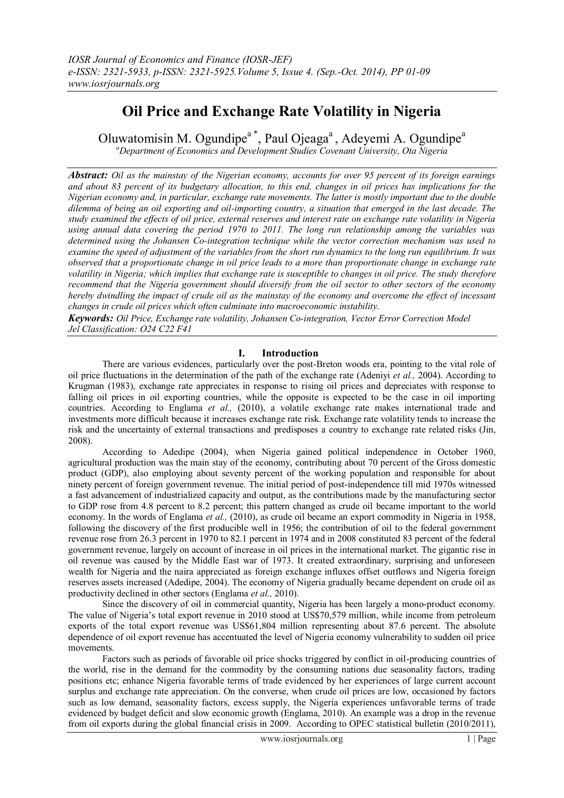# **Oil Price and Exchange Rate Volatility in Nigeria**

Oluwatomisin M. Ogundipe<sup>a\*</sup>, Paul Ojeaga<sup>a</sup>, Adeyemi A. Ogundipe<sup>a</sup>

*<sup>a</sup>Department of Economics and Development Studies Covenant University, Ota Nigeria*

*Abstract: Oil as the mainstay of the Nigerian economy, accounts for over 95 percent of its foreign earnings and about 83 percent of its budgetary allocation, to this end, changes in oil prices has implications for the Nigerian economy and, in particular, exchange rate movements. The latter is mostly important due to the double dilemma of being an oil exporting and oil-importing country, a situation that emerged in the last decade. The study examined the effects of oil price, external reserves and interest rate on exchange rate volatility in Nigeria using annual data covering the period 1970 to 2011. The long run relationship among the variables was determined using the Johansen Co-integration technique while the vector correction mechanism was used to examine the speed of adjustment of the variables from the short run dynamics to the long run equilibrium. It was observed that a proportionate change in oil price leads to a more than proportionate change in exchange rate volatility in Nigeria; which implies that exchange rate is susceptible to changes in oil price. The study therefore recommend that the Nigeria government should diversify from the oil sector to other sectors of the economy hereby dwindling the impact of crude oil as the mainstay of the economy and overcome the effect of incessant changes in crude oil prices which often culminate into macroeconomic instability.*

*Keywords: Oil Price, Exchange rate volatility, Johansen Co-integration, Vector Error Correction Model Jel Classification: O24 C22 F41*

# **I. Introduction**

There are various evidences, particularly over the post-Breton woods era, pointing to the vital role of oil price fluctuations in the determination of the path of the exchange rate (Adeniyi *et al.,* 2004). According to Krugman (1983), exchange rate appreciates in response to rising oil prices and depreciates with response to falling oil prices in oil exporting countries, while the opposite is expected to be the case in oil importing countries. According to Englama *et al.,* (2010), a volatile exchange rate makes international trade and investments more difficult because it increases exchange rate risk. Exchange rate volatility tends to increase the risk and the uncertainty of external transactions and predisposes a country to exchange rate related risks (Jin, 2008).

According to Adedipe (2004), when Nigeria gained political independence in October 1960, agricultural production was the main stay of the economy, contributing about 70 percent of the Gross domestic product (GDP), also employing about seventy percent of the working population and responsible for about ninety percent of foreign government revenue. The initial period of post-independence till mid 1970s witnessed a fast advancement of industrialized capacity and output, as the contributions made by the manufacturing sector to GDP rose from 4.8 percent to 8.2 percent; this pattern changed as crude oil became important to the world economy. In the words of Englama *et al.,* (2010), as crude oil became an export commodity in Nigeria in 1958, following the discovery of the first producible well in 1956; the contribution of oil to the federal government revenue rose from 26.3 percent in 1970 to 82.1 percent in 1974 and in 2008 constituted 83 percent of the federal government revenue, largely on account of increase in oil prices in the international market. The gigantic rise in oil revenue was caused by the Middle East war of 1973. It created extraordinary, surprising and unforeseen wealth for Nigeria and the naira appreciated as foreign exchange influxes offset outflows and Nigeria foreign reserves assets increased (Adedipe, 2004). The economy of Nigeria gradually became dependent on crude oil as productivity declined in other sectors (Englama *et al.,* 2010).

Since the discovery of oil in commercial quantity, Nigeria has been largely a mono-product economy. The value of Nigeria's total export revenue in 2010 stood at US\$70,579 million, while income from petroleum exports of the total export revenue was US\$61,804 million representing about 87.6 percent. The absolute dependence of oil export revenue has accentuated the level of Nigeria economy vulnerability to sudden oil price movements.

Factors such as periods of favorable oil price shocks triggered by conflict in oil-producing countries of the world, rise in the demand for the commodity by the consuming nations due seasonality factors, trading positions etc; enhance Nigeria favorable terms of trade evidenced by her experiences of large current account surplus and exchange rate appreciation. On the converse, when crude oil prices are low, occasioned by factors such as low demand, seasonality factors, excess supply, the Nigeria experiences unfavorable terms of trade evidenced by budget deficit and slow economic growth (Englama, 2010). An example was a drop in the revenue from oil exports during the global financial crisis in 2009. According to OPEC statistical bulletin (2010/2011),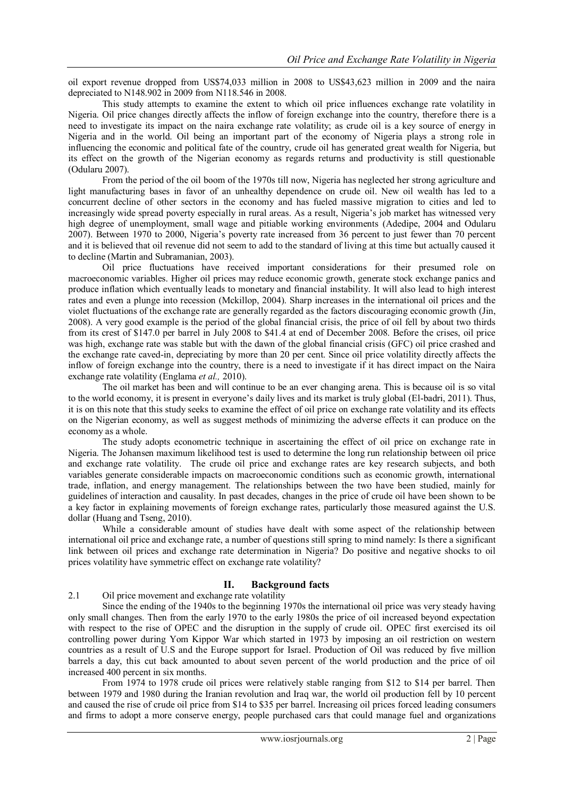oil export revenue dropped from US\$74,033 million in 2008 to US\$43,623 million in 2009 and the naira depreciated to N148.902 in 2009 from N118.546 in 2008.

This study attempts to examine the extent to which oil price influences exchange rate volatility in Nigeria. Oil price changes directly affects the inflow of foreign exchange into the country, therefore there is a need to investigate its impact on the naira exchange rate volatility; as crude oil is a key source of energy in Nigeria and in the world. Oil being an important part of the economy of Nigeria plays a strong role in influencing the economic and political fate of the country, crude oil has generated great wealth for Nigeria, but its effect on the growth of the Nigerian economy as regards returns and productivity is still questionable (Odularu 2007).

From the period of the oil boom of the 1970s till now, Nigeria has neglected her strong agriculture and light manufacturing bases in favor of an unhealthy dependence on crude oil. New oil wealth has led to a concurrent decline of other sectors in the economy and has fueled massive migration to cities and led to increasingly wide spread poverty especially in rural areas. As a result, Nigeria's job market has witnessed very high degree of unemployment, small wage and pitiable working environments (Adedipe, 2004 and Odularu 2007). Between 1970 to 2000, Nigeria's poverty rate increased from 36 percent to just fewer than 70 percent and it is believed that oil revenue did not seem to add to the standard of living at this time but actually caused it to decline (Martin and Subramanian, 2003).

Oil price fluctuations have received important considerations for their presumed role on macroeconomic variables. Higher oil prices may reduce economic growth, generate stock exchange panics and produce inflation which eventually leads to monetary and financial instability. It will also lead to high interest rates and even a plunge into recession (Mckillop, 2004). Sharp increases in the international oil prices and the violet fluctuations of the exchange rate are generally regarded as the factors discouraging economic growth (Jin, 2008). A very good example is the period of the global financial crisis, the price of oil fell by about two thirds from its crest of \$147.0 per barrel in July 2008 to \$41.4 at end of December 2008. Before the crises, oil price was high, exchange rate was stable but with the dawn of the global financial crisis (GFC) oil price crashed and the exchange rate caved-in, depreciating by more than 20 per cent. Since oil price volatility directly affects the inflow of foreign exchange into the country, there is a need to investigate if it has direct impact on the Naira exchange rate volatility (Englama *et al.,* 2010).

The oil market has been and will continue to be an ever changing arena. This is because oil is so vital to the world economy, it is present in everyone's daily lives and its market is truly global (El-badri, 2011). Thus, it is on this note that this study seeks to examine the effect of oil price on exchange rate volatility and its effects on the Nigerian economy, as well as suggest methods of minimizing the adverse effects it can produce on the economy as a whole.

The study adopts econometric technique in ascertaining the effect of oil price on exchange rate in Nigeria. The Johansen maximum likelihood test is used to determine the long run relationship between oil price and exchange rate volatility. The crude oil price and exchange rates are key research subjects, and both variables generate considerable impacts on macroeconomic conditions such as economic growth, international trade, inflation, and energy management. The relationships between the two have been studied, mainly for guidelines of interaction and causality. In past decades, changes in the price of crude oil have been shown to be a key factor in explaining movements of foreign exchange rates, particularly those measured against the U.S. dollar (Huang and Tseng, 2010).

While a considerable amount of studies have dealt with some aspect of the relationship between international oil price and exchange rate, a number of questions still spring to mind namely: Is there a significant link between oil prices and exchange rate determination in Nigeria? Do positive and negative shocks to oil prices volatility have symmetric effect on exchange rate volatility?

## **II. Background facts**

2.1 Oil price movement and exchange rate volatility

Since the ending of the 1940s to the beginning 1970s the international oil price was very steady having only small changes. Then from the early 1970 to the early 1980s the price of oil increased beyond expectation with respect to the rise of OPEC and the disruption in the supply of crude oil. OPEC first exercised its oil controlling power during Yom Kippor War which started in 1973 by imposing an oil restriction on western countries as a result of U.S and the Europe support for Israel. Production of Oil was reduced by five million barrels a day, this cut back amounted to about seven percent of the world production and the price of oil increased 400 percent in six months.

From 1974 to 1978 crude oil prices were relatively stable ranging from \$12 to \$14 per barrel. Then between 1979 and 1980 during the Iranian revolution and Iraq war, the world oil production fell by 10 percent and caused the rise of crude oil price from \$14 to \$35 per barrel. Increasing oil prices forced leading consumers and firms to adopt a more conserve energy, people purchased cars that could manage fuel and organizations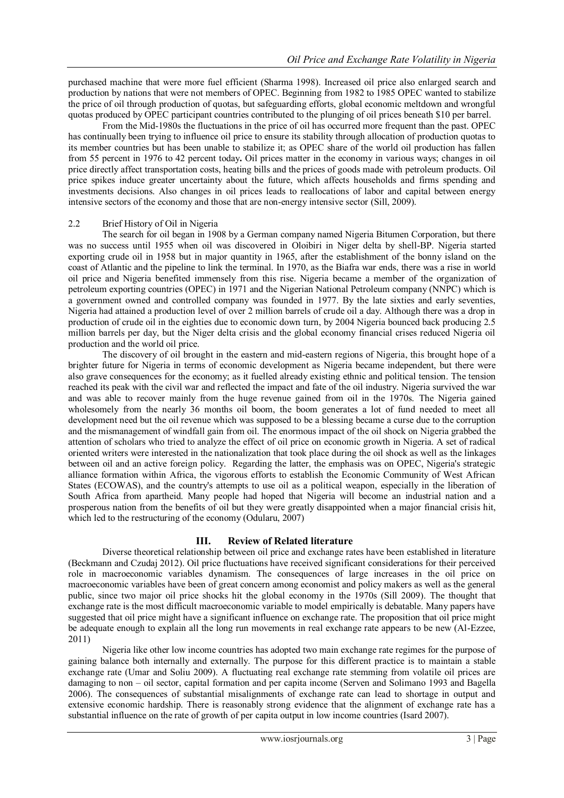purchased machine that were more fuel efficient (Sharma 1998). Increased oil price also enlarged search and production by nations that were not members of OPEC. Beginning from 1982 to 1985 OPEC wanted to stabilize the price of oil through production of quotas, but safeguarding efforts, global economic meltdown and wrongful quotas produced by OPEC participant countries contributed to the plunging of oil prices beneath \$10 per barrel.

From the Mid-1980s the fluctuations in the price of oil has occurred more frequent than the past. OPEC has continually been trying to influence oil price to ensure its stability through allocation of production quotas to its member countries but has been unable to stabilize it; as OPEC share of the world oil production has fallen from 55 percent in 1976 to 42 percent today**.** Oil prices matter in the economy in various ways; changes in oil price directly affect transportation costs, heating bills and the prices of goods made with petroleum products. Oil price spikes induce greater uncertainty about the future, which affects households and firms spending and investments decisions. Also changes in oil prices leads to reallocations of labor and capital between energy intensive sectors of the economy and those that are non-energy intensive sector (Sill, 2009).

#### 2.2 Brief History of Oil in Nigeria

The search for oil began in 1908 by a German company named Nigeria Bitumen Corporation, but there was no success until 1955 when oil was discovered in Oloibiri in Niger delta by shell-BP. Nigeria started exporting crude oil in 1958 but in major quantity in 1965, after the establishment of the bonny island on the coast of Atlantic and the pipeline to link the terminal. In 1970, as the Biafra war ends, there was a rise in world oil price and Nigeria benefited immensely from this rise. Nigeria became a member of the organization of petroleum exporting countries (OPEC) in 1971 and the Nigerian National Petroleum company (NNPC) which is a government owned and controlled company was founded in 1977. By the late sixties and early seventies, Nigeria had attained a production level of over 2 million barrels of crude oil a day. Although there was a drop in production of crude oil in the eighties due to economic down turn, by 2004 Nigeria bounced back producing 2.5 million barrels per day, but the Niger delta crisis and the global economy financial crises reduced Nigeria oil production and the world oil price.

The discovery of oil brought in the eastern and mid-eastern regions of Nigeria, this brought hope of a brighter future for Nigeria in terms of economic development as Nigeria became independent, but there were also grave consequences for the economy; as it fuelled already existing ethnic and political tension. The tension reached its peak with the civil war and reflected the impact and fate of the oil industry. Nigeria survived the war and was able to recover mainly from the huge revenue gained from oil in the 1970s. The Nigeria gained wholesomely from the nearly 36 months oil boom, the boom generates a lot of fund needed to meet all development need but the oil revenue which was supposed to be a blessing became a curse due to the corruption and the mismanagement of windfall gain from oil. The enormous impact of the oil shock on Nigeria grabbed the attention of scholars who tried to analyze the effect of oil price on economic growth in Nigeria. A set of radical oriented writers were interested in the nationalization that took place during the oil shock as well as the linkages between oil and an active foreign policy. Regarding the latter, the emphasis was on OPEC, Nigeria's strategic alliance formation within Africa, the vigorous efforts to establish the Economic Community of West African States (ECOWAS), and the country's attempts to use oil as a political weapon, especially in the liberation of South Africa from apartheid. Many people had hoped that Nigeria will become an industrial nation and a prosperous nation from the benefits of oil but they were greatly disappointed when a major financial crisis hit, which led to the restructuring of the economy (Odularu, 2007)

## **III. Review of Related literature**

Diverse theoretical relationship between oil price and exchange rates have been established in literature (Beckmann and Czudaj 2012). Oil price fluctuations have received significant considerations for their perceived role in macroeconomic variables dynamism. The consequences of large increases in the oil price on macroeconomic variables have been of great concern among economist and policy makers as well as the general public, since two major oil price shocks hit the global economy in the 1970s (Sill 2009). The thought that exchange rate is the most difficult macroeconomic variable to model empirically is debatable. Many papers have suggested that oil price might have a significant influence on exchange rate. The proposition that oil price might be adequate enough to explain all the long run movements in real exchange rate appears to be new (Al-Ezzee, 2011)

Nigeria like other low income countries has adopted two main exchange rate regimes for the purpose of gaining balance both internally and externally. The purpose for this different practice is to maintain a stable exchange rate (Umar and Soliu 2009). A fluctuating real exchange rate stemming from volatile oil prices are damaging to non – oil sector, capital formation and per capita income (Serven and Solimano 1993 and Bagella 2006). The consequences of substantial misalignments of exchange rate can lead to shortage in output and extensive economic hardship. There is reasonably strong evidence that the alignment of exchange rate has a substantial influence on the rate of growth of per capita output in low income countries (Isard 2007).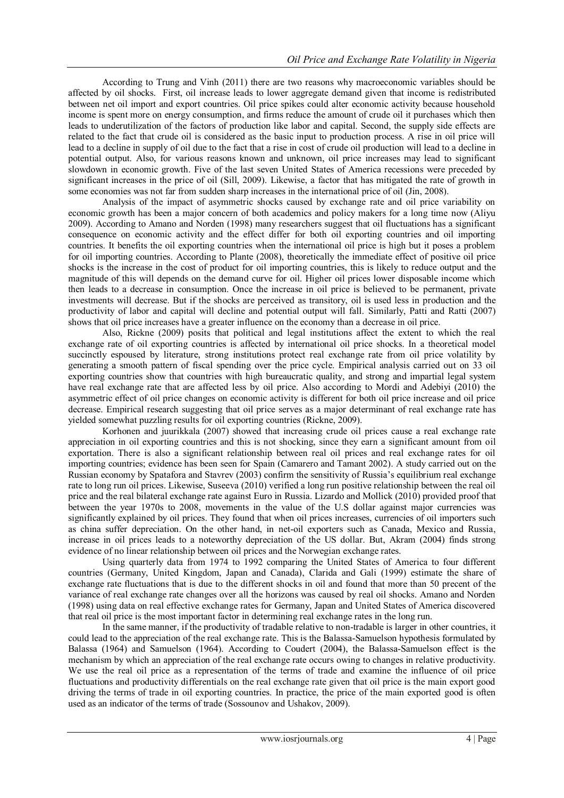According to Trung and Vinh (2011) there are two reasons why macroeconomic variables should be affected by oil shocks. First, oil increase leads to lower aggregate demand given that income is redistributed between net oil import and export countries. Oil price spikes could alter economic activity because household income is spent more on energy consumption, and firms reduce the amount of crude oil it purchases which then leads to underutilization of the factors of production like labor and capital. Second, the supply side effects are related to the fact that crude oil is considered as the basic input to production process. A rise in oil price will lead to a decline in supply of oil due to the fact that a rise in cost of crude oil production will lead to a decline in potential output. Also, for various reasons known and unknown, oil price increases may lead to significant slowdown in economic growth. Five of the last seven United States of America recessions were preceded by significant increases in the price of oil (Sill, 2009). Likewise, a factor that has mitigated the rate of growth in some economies was not far from sudden sharp increases in the international price of oil (Jin, 2008).

Analysis of the impact of asymmetric shocks caused by exchange rate and oil price variability on economic growth has been a major concern of both academics and policy makers for a long time now (Aliyu 2009). According to Amano and Norden (1998) many researchers suggest that oil fluctuations has a significant consequence on economic activity and the effect differ for both oil exporting countries and oil importing countries. It benefits the oil exporting countries when the international oil price is high but it poses a problem for oil importing countries. According to Plante (2008), theoretically the immediate effect of positive oil price shocks is the increase in the cost of product for oil importing countries, this is likely to reduce output and the magnitude of this will depends on the demand curve for oil. Higher oil prices lower disposable income which then leads to a decrease in consumption. Once the increase in oil price is believed to be permanent, private investments will decrease. But if the shocks are perceived as transitory, oil is used less in production and the productivity of labor and capital will decline and potential output will fall. Similarly, Patti and Ratti (2007) shows that oil price increases have a greater influence on the economy than a decrease in oil price.

Also, Rickne (2009) posits that political and legal institutions affect the extent to which the real exchange rate of oil exporting countries is affected by international oil price shocks. In a theoretical model succinctly espoused by literature, strong institutions protect real exchange rate from oil price volatility by generating a smooth pattern of fiscal spending over the price cycle. Empirical analysis carried out on 33 oil exporting countries show that countries with high bureaucratic quality, and strong and impartial legal system have real exchange rate that are affected less by oil price. Also according to Mordi and Adebiyi (2010) the asymmetric effect of oil price changes on economic activity is different for both oil price increase and oil price decrease. Empirical research suggesting that oil price serves as a major determinant of real exchange rate has yielded somewhat puzzling results for oil exporting countries (Rickne, 2009).

Korhonen and juurikkala (2007) showed that increasing crude oil prices cause a real exchange rate appreciation in oil exporting countries and this is not shocking, since they earn a significant amount from oil exportation. There is also a significant relationship between real oil prices and real exchange rates for oil importing countries; evidence has been seen for Spain (Camarero and Tamant 2002). A study carried out on the Russian economy by Spatafora and Stavrev (2003) confirm the sensitivity of Russia's equilibrium real exchange rate to long run oil prices. Likewise, Suseeva (2010) verified a long run positive relationship between the real oil price and the real bilateral exchange rate against Euro in Russia. Lizardo and Mollick (2010) provided proof that between the year 1970s to 2008, movements in the value of the U.S dollar against major currencies was significantly explained by oil prices. They found that when oil prices increases, currencies of oil importers such as china suffer depreciation. On the other hand, in net-oil exporters such as Canada, Mexico and Russia, increase in oil prices leads to a noteworthy depreciation of the US dollar. But, Akram (2004) finds strong evidence of no linear relationship between oil prices and the Norwegian exchange rates.

Using quarterly data from 1974 to 1992 comparing the United States of America to four different countries (Germany, United Kingdom, Japan and Canada), Clarida and Gali (1999) estimate the share of exchange rate fluctuations that is due to the different shocks in oil and found that more than 50 precent of the variance of real exchange rate changes over all the horizons was caused by real oil shocks. Amano and Norden (1998) using data on real effective exchange rates for Germany, Japan and United States of America discovered that real oil price is the most important factor in determining real exchange rates in the long run.

In the same manner, if the productivity of tradable relative to non-tradable is larger in other countries, it could lead to the appreciation of the real exchange rate. This is the Balassa-Samuelson hypothesis formulated by Balassa (1964) and Samuelson (1964). According to Coudert (2004), the Balassa-Samuelson effect is the mechanism by which an appreciation of the real exchange rate occurs owing to changes in relative productivity. We use the real oil price as a representation of the terms of trade and examine the influence of oil price fluctuations and productivity differentials on the real exchange rate given that oil price is the main export good driving the terms of trade in oil exporting countries. In practice, the price of the main exported good is often used as an indicator of the terms of trade (Sossounov and Ushakov, 2009).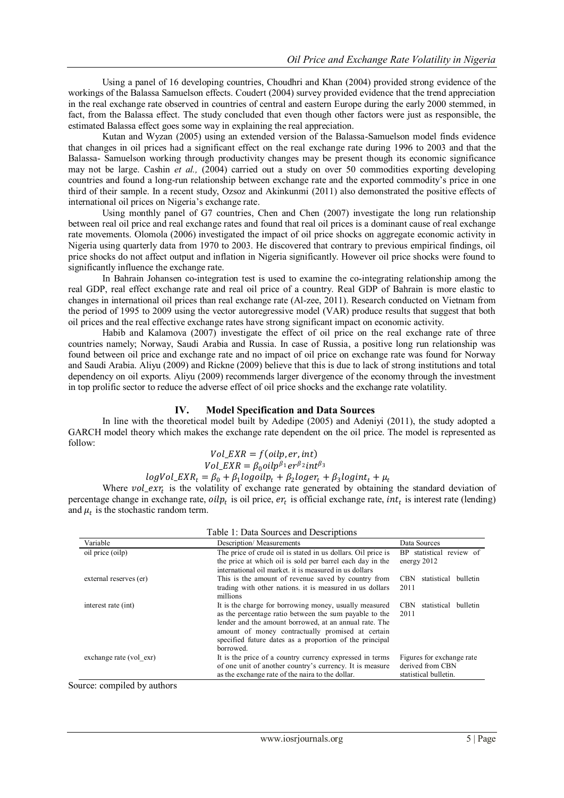Using a panel of 16 developing countries, Choudhri and Khan (2004) provided strong evidence of the workings of the Balassa Samuelson effects. Coudert (2004) survey provided evidence that the trend appreciation in the real exchange rate observed in countries of central and eastern Europe during the early 2000 stemmed, in fact, from the Balassa effect. The study concluded that even though other factors were just as responsible, the estimated Balassa effect goes some way in explaining the real appreciation.

Kutan and Wyzan (2005) using an extended version of the Balassa-Samuelson model finds evidence that changes in oil prices had a significant effect on the real exchange rate during 1996 to 2003 and that the Balassa- Samuelson working through productivity changes may be present though its economic significance may not be large. Cashin *et al.,* (2004) carried out a study on over 50 commodities exporting developing countries and found a long-run relationship between exchange rate and the exported commodity's price in one third of their sample. In a recent study, Ozsoz and Akinkunmi (2011) also demonstrated the positive effects of international oil prices on Nigeria's exchange rate.

Using monthly panel of G7 countries, Chen and Chen (2007) investigate the long run relationship between real oil price and real exchange rates and found that real oil prices is a dominant cause of real exchange rate movements. Olomola (2006) investigated the impact of oil price shocks on aggregate economic activity in Nigeria using quarterly data from 1970 to 2003. He discovered that contrary to previous empirical findings, oil price shocks do not affect output and inflation in Nigeria significantly. However oil price shocks were found to significantly influence the exchange rate.

In Bahrain Johansen co-integration test is used to examine the co-integrating relationship among the real GDP, real effect exchange rate and real oil price of a country. Real GDP of Bahrain is more elastic to changes in international oil prices than real exchange rate (Al-zee, 2011). Research conducted on Vietnam from the period of 1995 to 2009 using the vector autoregressive model (VAR) produce results that suggest that both oil prices and the real effective exchange rates have strong significant impact on economic activity.

Habib and Kalamova (2007) investigate the effect of oil price on the real exchange rate of three countries namely; Norway, Saudi Arabia and Russia. In case of Russia, a positive long run relationship was found between oil price and exchange rate and no impact of oil price on exchange rate was found for Norway and Saudi Arabia. Aliyu (2009) and Rickne (2009) believe that this is due to lack of strong institutions and total dependency on oil exports. Aliyu (2009) recommends larger divergence of the economy through the investment in top prolific sector to reduce the adverse effect of oil price shocks and the exchange rate volatility.

## **IV. Model Specification and Data Sources**

In line with the theoretical model built by Adedipe (2005) and Adeniyi (2011), the study adopted a GARCH model theory which makes the exchange rate dependent on the oil price. The model is represented as follow:

$$
Vol\_EXR = f(oilp, er, int)
$$

 $Vol\_EXR = \beta_0 oilp^{\beta_1}er^{\beta_2}int^{\beta_3}$ 

 $logVol\_EXR_t = \beta_0 + \beta_1 logoilp_t + \beta_2 loger_t + \beta_3 logint_t + \mu_t$ 

Where  $vol\_ext_t$  is the volatility of exchange rate generated by obtaining the standard deviation of percentage change in exchange rate,  $\text{oilp}_t$  is oil price,  $er_t$  is official exchange rate,  $\text{int}_t$  is interest rate (lending) and  $\mu_t$  is the stochastic random term.

| Table 1: Data Sources and Descriptions |                                                                                                                                                                                                                                                                                                         |                                                                        |  |  |
|----------------------------------------|---------------------------------------------------------------------------------------------------------------------------------------------------------------------------------------------------------------------------------------------------------------------------------------------------------|------------------------------------------------------------------------|--|--|
| Variable                               | Description/Measurements                                                                                                                                                                                                                                                                                | Data Sources                                                           |  |  |
| oil price (oilp)                       | The price of crude oil is stated in us dollars. Oil price is<br>the price at which oil is sold per barrel each day in the<br>international oil market, it is measured in us dollars                                                                                                                     | statistical review of<br>BP.<br>energy $2012$                          |  |  |
| external reserves (er)                 | This is the amount of revenue saved by country from<br>trading with other nations, it is measured in us dollars<br>millions                                                                                                                                                                             | statistical bulletin<br><b>CBN</b><br>2011                             |  |  |
| interest rate (int)                    | It is the charge for borrowing money, usually measured<br>as the percentage ratio between the sum payable to the<br>lender and the amount borrowed, at an annual rate. The<br>amount of money contractually promised at certain<br>specified future dates as a proportion of the principal<br>borrowed. | <b>CBN</b><br>statistical<br>bulletin<br>2011                          |  |  |
| exchange rate (vol exr)                | It is the price of a country currency expressed in terms<br>of one unit of another country's currency. It is measure<br>as the exchange rate of the naira to the dollar.                                                                                                                                | Figures for exchange rate<br>derived from CBN<br>statistical bulletin. |  |  |

Source: compiled by authors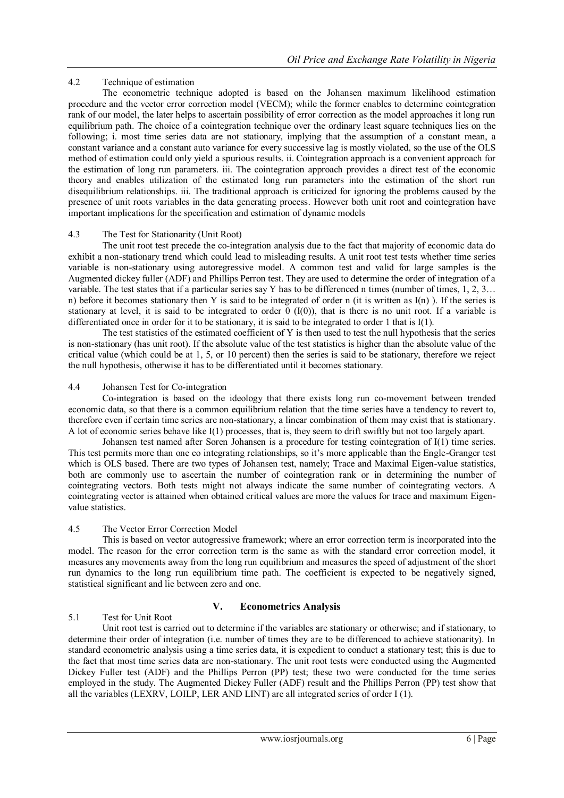# 4.2 Technique of estimation

The econometric technique adopted is based on the Johansen maximum likelihood estimation procedure and the vector error correction model (VECM); while the former enables to determine cointegration rank of our model, the later helps to ascertain possibility of error correction as the model approaches it long run equilibrium path. The choice of a cointegration technique over the ordinary least square techniques lies on the following; i. most time series data are not stationary, implying that the assumption of a constant mean, a constant variance and a constant auto variance for every successive lag is mostly violated, so the use of the OLS method of estimation could only yield a spurious results. ii. Cointegration approach is a convenient approach for the estimation of long run parameters. iii. The cointegration approach provides a direct test of the economic theory and enables utilization of the estimated long run parameters into the estimation of the short run disequilibrium relationships. iii. The traditional approach is criticized for ignoring the problems caused by the presence of unit roots variables in the data generating process. However both unit root and cointegration have important implications for the specification and estimation of dynamic models

# 4.3 The Test for Stationarity (Unit Root)

The unit root test precede the co-integration analysis due to the fact that majority of economic data do exhibit a non-stationary trend which could lead to misleading results. A unit root test tests whether time series variable is non-stationary using autoregressive model. A common test and valid for large samples is the Augmented dickey fuller (ADF) and Phillips Perron test. They are used to determine the order of integration of a variable. The test states that if a particular series say Y has to be differenced n times (number of times, 1, 2, 3… n) before it becomes stationary then Y is said to be integrated of order n (it is written as  $I(n)$ ). If the series is stationary at level, it is said to be integrated to order  $\tilde{0}$  (I(0)), that is there is no unit root. If a variable is differentiated once in order for it to be stationary, it is said to be integrated to order 1 that is I(1).

The test statistics of the estimated coefficient of Y is then used to test the null hypothesis that the series is non-stationary (has unit root). If the absolute value of the test statistics is higher than the absolute value of the critical value (which could be at 1, 5, or 10 percent) then the series is said to be stationary, therefore we reject the null hypothesis, otherwise it has to be differentiated until it becomes stationary.

# 4.4 Johansen Test for Co-integration

Co-integration is based on the ideology that there exists long run co-movement between trended economic data, so that there is a common equilibrium relation that the time series have a tendency to revert to, therefore even if certain time series are non-stationary, a linear combination of them may exist that is stationary. A lot of economic series behave like I(1) processes, that is, they seem to drift swiftly but not too largely apart.

Johansen test named after Soren Johansen is a procedure for testing cointegration of I(1) time series. This test permits more than one co integrating relationships, so it's more applicable than the Engle-Granger test which is OLS based. There are two types of Johansen test, namely; Trace and Maximal Eigen-value statistics, both are commonly use to ascertain the number of cointegration rank or in determining the number of cointegrating vectors. Both tests might not always indicate the same number of cointegrating vectors. A cointegrating vector is attained when obtained critical values are more the values for trace and maximum Eigenvalue statistics.

## 4.5 The Vector Error Correction Model

This is based on vector autogressive framework; where an error correction term is incorporated into the model. The reason for the error correction term is the same as with the standard error correction model, it measures any movements away from the long run equilibrium and measures the speed of adjustment of the short run dynamics to the long run equilibrium time path. The coefficient is expected to be negatively signed, statistical significant and lie between zero and one.

# 5.1 Test for Unit Root

# **V. Econometrics Analysis**

Unit root test is carried out to determine if the variables are stationary or otherwise; and if stationary, to determine their order of integration (i.e. number of times they are to be differenced to achieve stationarity). In standard econometric analysis using a time series data, it is expedient to conduct a stationary test; this is due to the fact that most time series data are non-stationary. The unit root tests were conducted using the Augmented Dickey Fuller test (ADF) and the Phillips Perron (PP) test; these two were conducted for the time series employed in the study. The Augmented Dickey Fuller (ADF) result and the Phillips Perron (PP) test show that all the variables (LEXRV, LOILP, LER AND LINT) are all integrated series of order I (1).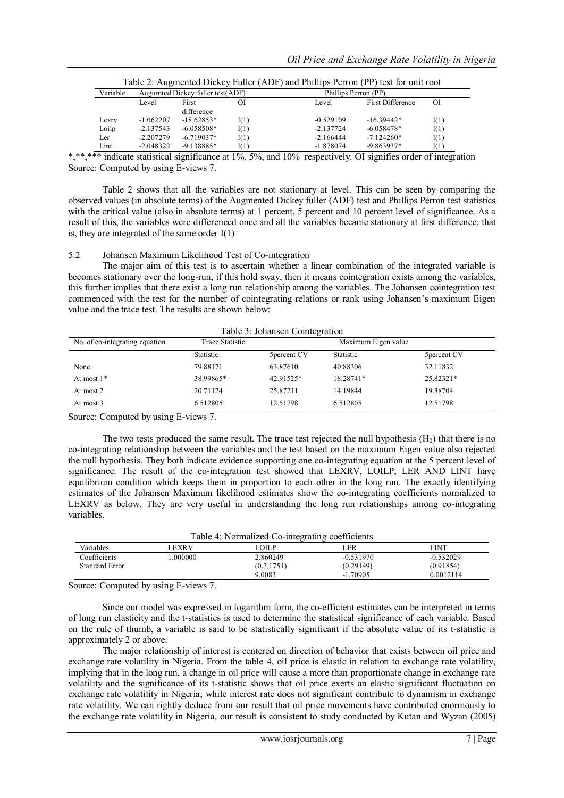| Table 2: Augmented Dickey Fuller (ADF) and Phillips Perron (PP) test for unit root |             |                                  |      |                      |                  |      |
|------------------------------------------------------------------------------------|-------------|----------------------------------|------|----------------------|------------------|------|
| Variable                                                                           |             | Augumted Dickey fuller test(ADF) |      | Phillips Perron (PP) |                  |      |
|                                                                                    | Level.      | First<br>difference              | ОI   | Level                | First Difference | ΟI   |
| Lexrv                                                                              | $-1.062207$ | $-18.62853*$                     | I(1) | $-0.529109$          | $-16.39442*$     | I(1) |
| Loilp                                                                              | $-2.137543$ | $-6.058508*$                     | I(1) | $-2.137724$          | $-6.058478*$     | I(1) |
| Ler-                                                                               | $-2.207279$ | $-6.719037*$                     | I(1) | $-2.166444$          | $-7.124260*$     | I(1) |
| Lint                                                                               | $-2.048322$ | $-9.138885*$                     | I(1) | $-1.878074$          | $-9.863937*$     | I(1) |

\*,\*\*,\*\*\*\* indicate statistical significance at 1%, 5%, and 10% respectively. OI signifies order of integration Source: Computed by using E-views 7.

Table 2 shows that all the variables are not stationary at level. This can be seen by comparing the observed values (in absolute terms) of the Augmented Dickey fuller (ADF) test and Phillips Perron test statistics with the critical value (also in absolute terms) at 1 percent, 5 percent and 10 percent level of significance. As a result of this, the variables were differenced once and all the variables became stationary at first difference, that is, they are integrated of the same order I(1)

## 5.2 Johansen Maximum Likelihood Test of Co-integration

The major aim of this test is to ascertain whether a linear combination of the integrated variable is becomes stationary over the long-run, if this hold sway, then it means cointegration exists among the variables, this further implies that there exist a long run relationship among the variables. The Johansen cointegration test commenced with the test for the number of cointegrating relations or rank using Johansen's maximum Eigen value and the trace test. The results are shown below:

| Table 3: Johansen Cointegration |                 |                     |           |              |
|---------------------------------|-----------------|---------------------|-----------|--------------|
| No. of co-integrating equation  | Trace Statistic | Maximum Eigen value |           |              |
|                                 | Statistic       | 5 percent CV        | Statistic | 5 percent CV |
| None                            | 79.88171        | 63.87610            | 40.88306  | 32.11832     |
| At most $1*$                    | 38.99865*       | 42.91525*           | 18.28741* | 25.82321*    |
| At most 2                       | 20.71124        | 25.87211            | 14.19844  | 19.38704     |
| At most 3                       | 6.512805        | 12.51798            | 6.512805  | 12.51798     |

Source: Computed by using E-views 7.

The two tests produced the same result. The trace test rejected the null hypothesis  $(H_0)$  that there is no co-integrating relationship between the variables and the test based on the maximum Eigen value also rejected the null hypothesis. They both indicate evidence supporting one co-integrating equation at the 5 percent level of significance. The result of the co-integration test showed that LEXRV, LOILP, LER AND LINT have equilibrium condition which keeps them in proportion to each other in the long run. The exactly identifying estimates of the Johansen Maximum likelihood estimates show the co-integrating coefficients normalized to LEXRV as below. They are very useful in understanding the long run relationships among co-integrating variables.

| Table 4: Normalized Co-integrating coefficients |             |            |             |             |
|-------------------------------------------------|-------------|------------|-------------|-------------|
| Variables                                       | <b>EXRV</b> | LOILP-     | ÆR          | LINT        |
| Coefficients                                    | .000000     | 2.860249   | $-0.531970$ | $-0.532029$ |
| Standard Error                                  |             | (0.3.1751) | (0.29149)   | (0.91854)   |
|                                                 |             | 9.0083     | $-1.70905$  | 0.0012114   |

Source: Computed by using E-views 7.

Since our model was expressed in logarithm form, the co-efficient estimates can be interpreted in terms of long run elasticity and the t-statistics is used to determine the statistical significance of each variable. Based on the rule of thumb, a variable is said to be statistically significant if the absolute value of its t-statistic is approximately 2 or above.

The major relationship of interest is centered on direction of behavior that exists between oil price and exchange rate volatility in Nigeria. From the table 4, oil price is elastic in relation to exchange rate volatility, implying that in the long run, a change in oil price will cause a more than proportionate change in exchange rate volatility and the significance of its t-statistic shows that oil price exerts an elastic significant fluctuation on exchange rate volatility in Nigeria; while interest rate does not significant contribute to dynamism in exchange rate volatility. We can rightly deduce from our result that oil price movements have contributed enormously to the exchange rate volatility in Nigeria, our result is consistent to study conducted by Kutan and Wyzan (2005)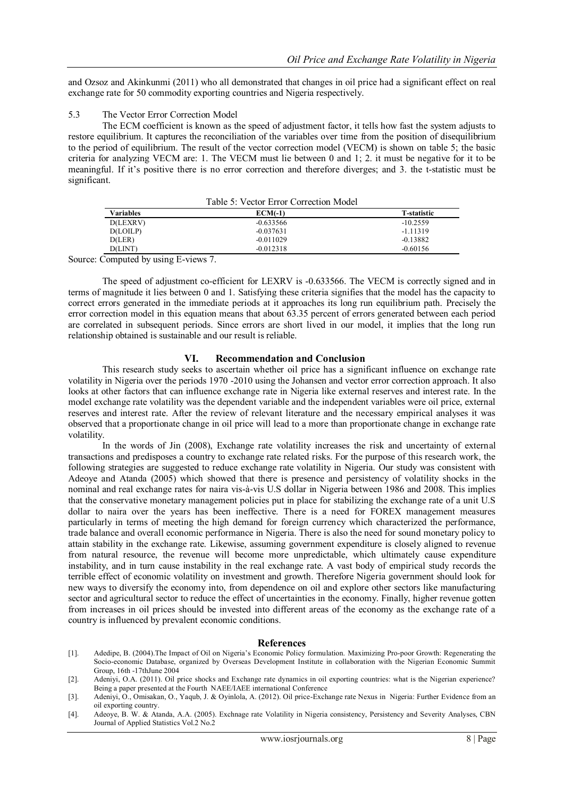and Ozsoz and Akinkunmi (2011) who all demonstrated that changes in oil price had a significant effect on real exchange rate for 50 commodity exporting countries and Nigeria respectively.

#### 5.3 The Vector Error Correction Model

The ECM coefficient is known as the speed of adjustment factor, it tells how fast the system adjusts to restore equilibrium. It captures the reconciliation of the variables over time from the position of disequilibrium to the period of equilibrium. The result of the vector correction model (VECM) is shown on table 5; the basic criteria for analyzing VECM are: 1. The VECM must lie between 0 and 1; 2. it must be negative for it to be meaningful. If it's positive there is no error correction and therefore diverges; and 3. the t-statistic must be significant.

| Table 5: Vector Error Correction Model |                    |
|----------------------------------------|--------------------|
| $ECM(-1)$                              | <b>T-statistic</b> |
| $-0.633566$                            | $-10.2559$         |
| $-0.037631$                            | $-1.11319$         |
| $-0.011029$                            | $-0.13882$         |
| $-0.012318$                            | $-0.60156$         |
|                                        |                    |

Table 5: Vector Error Correction Model

Source: Computed by using E-views 7.

The speed of adjustment co-efficient for LEXRV is -0.633566. The VECM is correctly signed and in terms of magnitude it lies between 0 and 1. Satisfying these criteria signifies that the model has the capacity to correct errors generated in the immediate periods at it approaches its long run equilibrium path. Precisely the error correction model in this equation means that about 63.35 percent of errors generated between each period are correlated in subsequent periods. Since errors are short lived in our model, it implies that the long run relationship obtained is sustainable and our result is reliable.

#### **VI. Recommendation and Conclusion**

This research study seeks to ascertain whether oil price has a significant influence on exchange rate volatility in Nigeria over the periods 1970 -2010 using the Johansen and vector error correction approach. It also looks at other factors that can influence exchange rate in Nigeria like external reserves and interest rate. In the model exchange rate volatility was the dependent variable and the independent variables were oil price, external reserves and interest rate. After the review of relevant literature and the necessary empirical analyses it was observed that a proportionate change in oil price will lead to a more than proportionate change in exchange rate volatility.

In the words of Jin (2008), Exchange rate volatility increases the risk and uncertainty of external transactions and predisposes a country to exchange rate related risks. For the purpose of this research work, the following strategies are suggested to reduce exchange rate volatility in Nigeria. Our study was consistent with Adeoye and Atanda (2005) which showed that there is presence and persistency of volatility shocks in the nominal and real exchange rates for naira vis-à-vis U.S dollar in Nigeria between 1986 and 2008. This implies that the conservative monetary management policies put in place for stabilizing the exchange rate of a unit U.S dollar to naira over the years has been ineffective. There is a need for FOREX management measures particularly in terms of meeting the high demand for foreign currency which characterized the performance, trade balance and overall economic performance in Nigeria. There is also the need for sound monetary policy to attain stability in the exchange rate. Likewise, assuming government expenditure is closely aligned to revenue from natural resource, the revenue will become more unpredictable, which ultimately cause expenditure instability, and in turn cause instability in the real exchange rate. A vast body of empirical study records the terrible effect of economic volatility on investment and growth. Therefore Nigeria government should look for new ways to diversify the economy into, from dependence on oil and explore other sectors like manufacturing sector and agricultural sector to reduce the effect of uncertainties in the economy. Finally, higher revenue gotten from increases in oil prices should be invested into different areas of the economy as the exchange rate of a country is influenced by prevalent economic conditions.

#### **References**

[1]. Adedipe, B. (2004).The Impact of Oil on Nigeria's Economic Policy formulation. Maximizing Pro-poor Growth: Regenerating the Socio-economic Database, organized by Overseas Development Institute in collaboration with the Nigerian Economic Summit Group, 16th -17thJune 2004

<sup>[2].</sup> Adeniyi, O.A. (2011). Oil price shocks and Exchange rate dynamics in oil exporting countries: what is the Nigerian experience? Being a paper presented at the Fourth NAEE/IAEE international Conference

<sup>[3].</sup> Adeniyi, O., Omisakan, O., Yaqub, J. & Oyinlola, A. (2012). Oil price-Exchange rate Nexus in Nigeria: Further Evidence from an oil exporting country.

<sup>[4].</sup> Adeoye, B. W. & Atanda, A.A. (2005). Exchnage rate Volatility in Nigeria consistency, Persistency and Severity Analyses, CBN Journal of Applied Statistics Vol.2 No.2